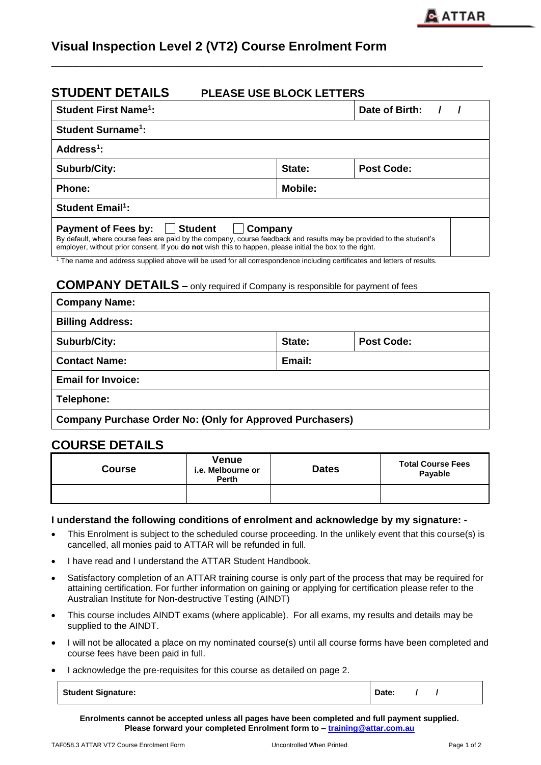# **Visual Inspection Level 2 (VT2) Course Enrolment Form**

# **STUDENT DETAILS PLEASE USE BLOCK LETTERS**

| <b>Student First Name<sup>1</sup>:</b>                                                                                                                                                                                                                                                                                                                                                                                                                                                                                           |                | Date of Birth:    |  |  |
|----------------------------------------------------------------------------------------------------------------------------------------------------------------------------------------------------------------------------------------------------------------------------------------------------------------------------------------------------------------------------------------------------------------------------------------------------------------------------------------------------------------------------------|----------------|-------------------|--|--|
| <b>Student Surname<sup>1</sup>:</b>                                                                                                                                                                                                                                                                                                                                                                                                                                                                                              |                |                   |  |  |
| Address $1$ :                                                                                                                                                                                                                                                                                                                                                                                                                                                                                                                    |                |                   |  |  |
| Suburb/City:                                                                                                                                                                                                                                                                                                                                                                                                                                                                                                                     | State:         | <b>Post Code:</b> |  |  |
| <b>Phone:</b>                                                                                                                                                                                                                                                                                                                                                                                                                                                                                                                    | <b>Mobile:</b> |                   |  |  |
| <b>Student Email<sup>1</sup>:</b>                                                                                                                                                                                                                                                                                                                                                                                                                                                                                                |                |                   |  |  |
| <b>Payment of Fees by:</b><br><b>Student</b><br>Company<br>By default, where course fees are paid by the company, course feedback and results may be provided to the student's<br>employer, without prior consent. If you <b>do not</b> wish this to happen, please initial the box to the right.<br><sup>1</sup> The name and address supplied above will be used for all correspondence including certificates and letters of results.<br><b>COMPANY DETAILS</b> - only required if Company is responsible for payment of fees |                |                   |  |  |
| <b>Company Name:</b>                                                                                                                                                                                                                                                                                                                                                                                                                                                                                                             |                |                   |  |  |
| <b>Billing Address:</b>                                                                                                                                                                                                                                                                                                                                                                                                                                                                                                          |                |                   |  |  |
| <b>Suburb/City:</b>                                                                                                                                                                                                                                                                                                                                                                                                                                                                                                              | State:         | <b>Post Code:</b> |  |  |
| <b>Contact Name:</b>                                                                                                                                                                                                                                                                                                                                                                                                                                                                                                             | Email:         |                   |  |  |

**\_\_\_\_\_\_\_\_\_\_\_\_\_\_\_\_\_\_\_\_\_\_\_\_\_\_\_\_\_\_\_\_\_\_\_\_\_\_\_\_\_\_\_\_\_\_\_\_\_\_\_\_\_\_\_\_\_\_\_\_\_**

**Email for Invoice:**

**Telephone:**

**Company Purchase Order No: (Only for Approved Purchasers)**

## **COURSE DETAILS**

| <b>Course</b> | <b>Venue</b><br>i.e. Melbourne or<br><b>Perth</b> | <b>Dates</b> | <b>Total Course Fees</b><br>Payable |
|---------------|---------------------------------------------------|--------------|-------------------------------------|
|               |                                                   |              |                                     |

#### **I understand the following conditions of enrolment and acknowledge by my signature: -**

- This Enrolment is subject to the scheduled course proceeding. In the unlikely event that this course(s) is cancelled, all monies paid to ATTAR will be refunded in full.
- I have read and I understand the ATTAR Student Handbook.
- Satisfactory completion of an ATTAR training course is only part of the process that may be required for attaining certification. For further information on gaining or applying for certification please refer to the Australian Institute for Non-destructive Testing (AINDT)
- This course includes AINDT exams (where applicable). For all exams, my results and details may be supplied to the AINDT.
- I will not be allocated a place on my nominated course(s) until all course forms have been completed and course fees have been paid in full.
- I acknowledge the pre-requisites for this course as detailed on page 2.

| <b>Student Signature:</b><br>Date |
|-----------------------------------|
|-----------------------------------|

**Enrolments cannot be accepted unless all pages have been completed and full payment supplied. Please forward your completed Enrolment form to – [training@attar.com.au](mailto:training@attar.com.au)**